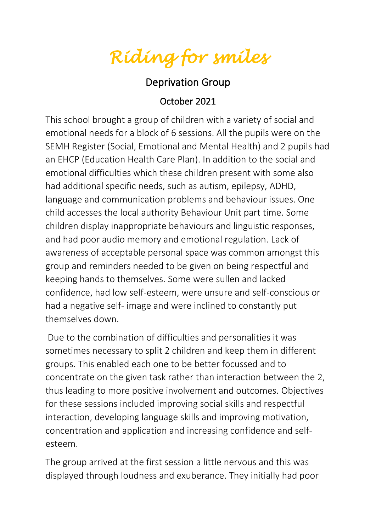*Riding for smiles* 

## Deprivation Group

## October 2021

This school brought a group of children with a variety of social and emotional needs for a block of 6 sessions. All the pupils were on the SEMH Register (Social, Emotional and Mental Health) and 2 pupils had an EHCP (Education Health Care Plan). In addition to the social and emotional difficulties which these children present with some also had additional specific needs, such as autism, epilepsy, ADHD, language and communication problems and behaviour issues. One child accesses the local authority Behaviour Unit part time. Some children display inappropriate behaviours and linguistic responses, and had poor audio memory and emotional regulation. Lack of awareness of acceptable personal space was common amongst this group and reminders needed to be given on being respectful and keeping hands to themselves. Some were sullen and lacked confidence, had low self-esteem, were unsure and self-conscious or had a negative self- image and were inclined to constantly put themselves down.

Due to the combination of difficulties and personalities it was sometimes necessary to split 2 children and keep them in different groups. This enabled each one to be better focussed and to concentrate on the given task rather than interaction between the 2, thus leading to more positive involvement and outcomes. Objectives for these sessions included improving social skills and respectful interaction, developing language skills and improving motivation, concentration and application and increasing confidence and selfesteem.

The group arrived at the first session a little nervous and this was displayed through loudness and exuberance. They initially had poor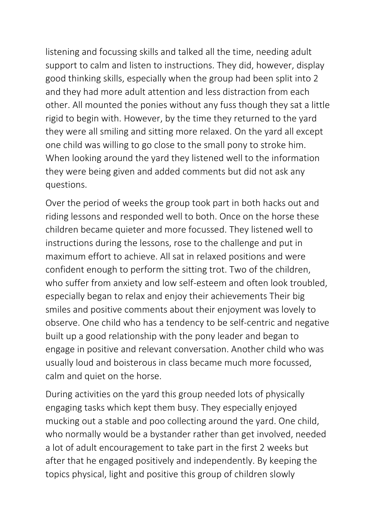listening and focussing skills and talked all the time, needing adult support to calm and listen to instructions. They did, however, display good thinking skills, especially when the group had been split into 2 and they had more adult attention and less distraction from each other. All mounted the ponies without any fuss though they sat a little rigid to begin with. However, by the time they returned to the yard they were all smiling and sitting more relaxed. On the yard all except one child was willing to go close to the small pony to stroke him. When looking around the yard they listened well to the information they were being given and added comments but did not ask any questions.

Over the period of weeks the group took part in both hacks out and riding lessons and responded well to both. Once on the horse these children became quieter and more focussed. They listened well to instructions during the lessons, rose to the challenge and put in maximum effort to achieve. All sat in relaxed positions and were confident enough to perform the sitting trot. Two of the children, who suffer from anxiety and low self-esteem and often look troubled, especially began to relax and enjoy their achievements Their big smiles and positive comments about their enjoyment was lovely to observe. One child who has a tendency to be self-centric and negative built up a good relationship with the pony leader and began to engage in positive and relevant conversation. Another child who was usually loud and boisterous in class became much more focussed, calm and quiet on the horse.

During activities on the yard this group needed lots of physically engaging tasks which kept them busy. They especially enjoyed mucking out a stable and poo collecting around the yard. One child, who normally would be a bystander rather than get involved, needed a lot of adult encouragement to take part in the first 2 weeks but after that he engaged positively and independently. By keeping the topics physical, light and positive this group of children slowly